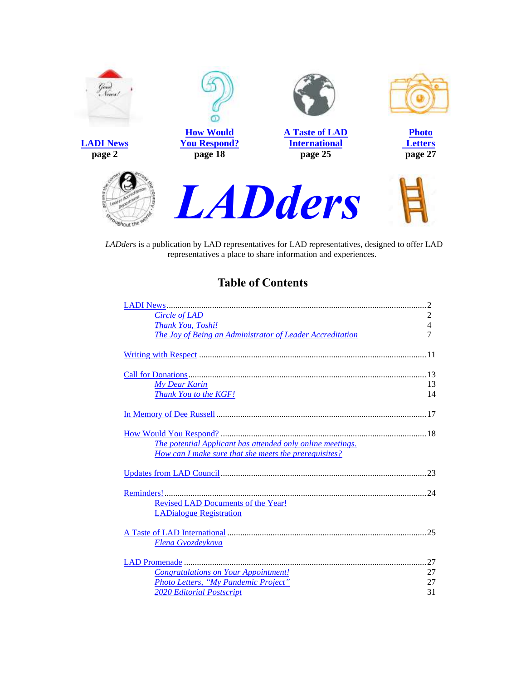

*LADders* is a publication by LAD representatives for LAD representatives, designed to offer LAD representatives a place to share information and experiences.

# <span id="page-0-0"></span>**Table of Contents**

| Circle of LAD                                              | 2  |
|------------------------------------------------------------|----|
| <b>Thank You, Toshi!</b>                                   | 4  |
| The Joy of Being an Administrator of Leader Accreditation  | 7  |
|                                                            |    |
|                                                            |    |
|                                                            |    |
|                                                            |    |
| <b>My Dear Karin</b>                                       | 13 |
| Thank You to the KGF!                                      | 14 |
|                                                            |    |
|                                                            |    |
|                                                            |    |
|                                                            |    |
| The potential Applicant has attended only online meetings. |    |
|                                                            |    |
| How can I make sure that she meets the prerequisites?      |    |
|                                                            |    |
|                                                            |    |
|                                                            |    |
|                                                            |    |
| Revised LAD Documents of the Year!                         |    |
| <b>LADialogue Registration</b>                             |    |
|                                                            | 25 |
|                                                            |    |
| Elena Gvozdeykova                                          |    |
|                                                            | 27 |
| <b>Congratulations on Your Appointment!</b>                | 27 |
| Photo Letters, "My Pandemic Project"                       | 27 |
| <b>2020 Editorial Postscript</b>                           | 31 |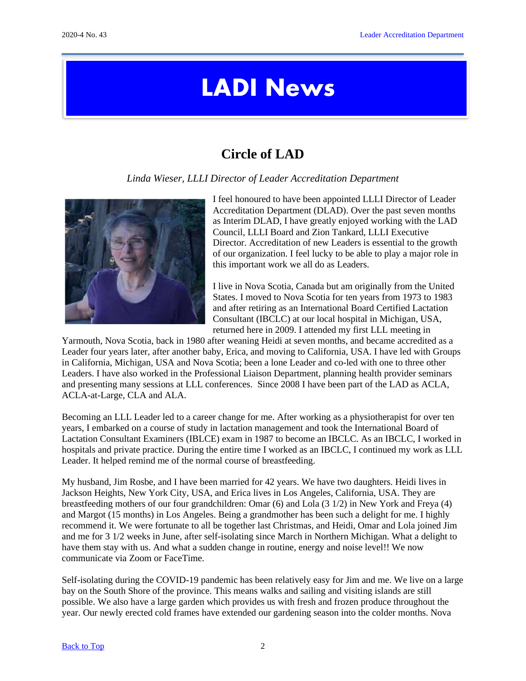# LADI News

# <span id="page-1-1"></span>**Circle of LAD**

*Linda Wieser, LLLI Director of Leader Accreditation Department*

<span id="page-1-0"></span>

I feel honoured to have been appointed LLLI Director of Leader Accreditation Department (DLAD). Over the past seven months as Interim DLAD, I have greatly enjoyed working with the LAD Council, LLLI Board and Zion Tankard, LLLI Executive Director. Accreditation of new Leaders is essential to the growth of our organization. I feel lucky to be able to play a major role in this important work we all do as Leaders.

I live in Nova Scotia, Canada but am originally from the United States. I moved to Nova Scotia for ten years from 1973 to 1983 and after retiring as an International Board Certified Lactation Consultant (IBCLC) at our local hospital in Michigan, USA, returned here in 2009. I attended my first LLL meeting in

Yarmouth, Nova Scotia, back in 1980 after weaning Heidi at seven months, and became accredited as a Leader four years later, after another baby, Erica, and moving to California, USA. I have led with Groups in California, Michigan, USA and Nova Scotia; been a lone Leader and co-led with one to three other Leaders. I have also worked in the Professional Liaison Department, planning health provider seminars and presenting many sessions at LLL conferences. Since 2008 I have been part of the LAD as ACLA, ACLA-at-Large, CLA and ALA.

Becoming an LLL Leader led to a career change for me. After working as a physiotherapist for over ten years, I embarked on a course of study in lactation management and took the International Board of Lactation Consultant Examiners (IBLCE) exam in 1987 to become an IBCLC. As an IBCLC, I worked in hospitals and private practice. During the entire time I worked as an IBCLC, I continued my work as LLL Leader. It helped remind me of the normal course of breastfeeding.

My husband, Jim Rosbe, and I have been married for 42 years. We have two daughters. Heidi lives in Jackson Heights, New York City, USA, and Erica lives in Los Angeles, California, USA. They are breastfeeding mothers of our four grandchildren: Omar (6) and Lola (3 1/2) in New York and Freya (4) and Margot (15 months) in Los Angeles. Being a grandmother has been such a delight for me. I highly recommend it. We were fortunate to all be together last Christmas, and Heidi, Omar and Lola joined Jim and me for 3 1/2 weeks in June, after self-isolating since March in Northern Michigan. What a delight to have them stay with us. And what a sudden change in routine, energy and noise level!! We now communicate via Zoom or FaceTime.

Self-isolating during the COVID-19 pandemic has been relatively easy for Jim and me. We live on a large bay on the South Shore of the province. This means walks and sailing and visiting islands are still possible. We also have a large garden which provides us with fresh and frozen produce throughout the year. Our newly erected cold frames have extended our gardening season into the colder months. Nova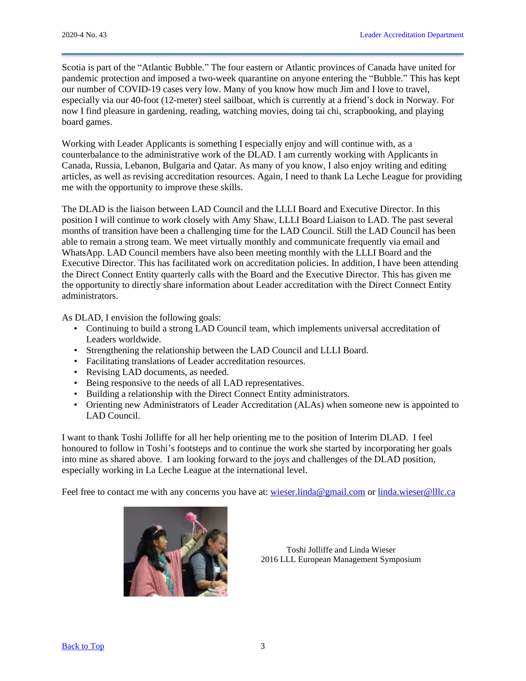Scotia is part of the "Atlantic Bubble." The four eastern or Atlantic provinces of Canada have united for pandemic protection and imposed a two-week quarantine on anyone entering the "Bubble." This has kept our number of COVID-19 cases very low. Many of you know how much Jim and I love to travel, especially via our 40-foot (12-meter) steel sailboat, which is currently at a friend's dock in Norway. For now I find pleasure in gardening, reading, watching movies, doing tai chi, scrapbooking, and playing board games.

Working with Leader Applicants is something I especially enjoy and will continue with, as a counterbalance to the administrative work of the DLAD. I am currently working with Applicants in Canada, Russia, Lebanon, Bulgaria and Qatar. As many of you know, I also enjoy writing and editing articles, as well as revising accreditation resources. Again, I need to thank La Leche League for providing me with the opportunity to improve these skills.

The DLAD is the liaison between LAD Council and the LLLI Board and Executive Director. In this position I will continue to work closely with Amy Shaw, LLLI Board Liaison to LAD. The past several months of transition have been a challenging time for the LAD Council. Still the LAD Council has been able to remain a strong team. We meet virtually monthly and communicate frequently via email and WhatsApp. LAD Council members have also been meeting monthly with the LLLI Board and the Executive Director. This has facilitated work on accreditation policies. In addition, I have been attending the Direct Connect Entity quarterly calls with the Board and the Executive Director. This has given me the opportunity to directly share information about Leader accreditation with the Direct Connect Entity administrators.

As DLAD, I envision the following goals:

- Continuing to build a strong LAD Council team, which implements universal accreditation of Leaders worldwide.
- Strengthening the relationship between the LAD Council and LLLI Board.
- Facilitating translations of Leader accreditation resources.
- Revising LAD documents, as needed.
- Being responsive to the needs of all LAD representatives.
- Building a relationship with the Direct Connect Entity administrators.
- Orienting new Administrators of Leader Accreditation (ALAs) when someone new is appointed to LAD Council.

I want to thank Toshi Jolliffe for all her help orienting me to the position of Interim DLAD. I feel honoured to follow in Toshi's footsteps and to continue the work she started by incorporating her goals into mine as shared above. I am looking forward to the joys and challenges of the DLAD position, especially working in La Leche League at the international level.

Feel free to contact me with any concerns you have at: [wieser.linda@gmail.com](mailto:wieser.linda@gmail.com) or [linda.wieser@lllc.ca](mailto:linda.wieser@lllc.ca)



Toshi Jolliffe and Linda Wieser 2016 LLL European Management Symposium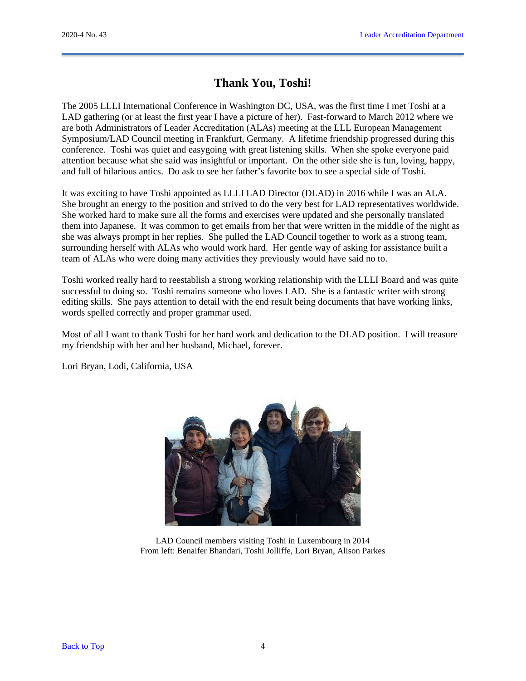# <span id="page-3-0"></span>**Thank You, Toshi!**

The 2005 LLLI International Conference in Washington DC, USA, was the first time I met Toshi at a LAD gathering (or at least the first year I have a picture of her). Fast-forward to March 2012 where we are both Administrators of Leader Accreditation (ALAs) meeting at the LLL European Management Symposium/LAD Council meeting in Frankfurt, Germany. A lifetime friendship progressed during this conference. Toshi was quiet and easygoing with great listening skills. When she spoke everyone paid attention because what she said was insightful or important. On the other side she is fun, loving, happy, and full of hilarious antics. Do ask to see her father's favorite box to see a special side of Toshi.

It was exciting to have Toshi appointed as LLLI LAD Director (DLAD) in 2016 while I was an ALA. She brought an energy to the position and strived to do the very best for LAD representatives worldwide. She worked hard to make sure all the forms and exercises were updated and she personally translated them into Japanese. It was common to get emails from her that were written in the middle of the night as she was always prompt in her replies. She pulled the LAD Council together to work as a strong team, surrounding herself with ALAs who would work hard. Her gentle way of asking for assistance built a team of ALAs who were doing many activities they previously would have said no to.

Toshi worked really hard to reestablish a strong working relationship with the LLLI Board and was quite successful to doing so. Toshi remains someone who loves LAD. She is a fantastic writer with strong editing skills. She pays attention to detail with the end result being documents that have working links, words spelled correctly and proper grammar used.

Most of all I want to thank Toshi for her hard work and dedication to the DLAD position. I will treasure my friendship with her and her husband, Michael, forever.

Lori Bryan, Lodi, California, USA



LAD Council members visiting Toshi in Luxembourg in 2014 From left: Benaifer Bhandari, Toshi Jolliffe, Lori Bryan, Alison Parkes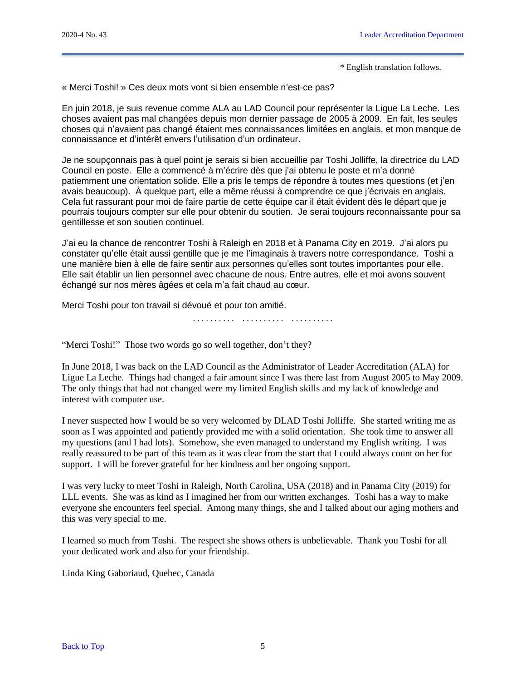\* English translation follows.

« Merci Toshi! » Ces deux mots vont si bien ensemble n'est-ce pas?

En juin 2018, je suis revenue comme ALA au LAD Council pour représenter la Ligue La Leche. Les choses avaient pas mal changées depuis mon dernier passage de 2005 à 2009. En fait, les seules choses qui n'avaient pas changé étaient mes connaissances limitées en anglais, et mon manque de connaissance et d'intérêt envers l'utilisation d'un ordinateur.

Je ne soupçonnais pas à quel point je serais si bien accueillie par Toshi Jolliffe, la directrice du LAD Council en poste. Elle a commencé à m'écrire dès que j'ai obtenu le poste et m'a donné patiemment une orientation solide. Elle a pris le temps de répondre à toutes mes questions (et j'en avais beaucoup). À quelque part, elle a même réussi à comprendre ce que j'écrivais en anglais. Cela fut rassurant pour moi de faire partie de cette équipe car il était évident dès le départ que je pourrais toujours compter sur elle pour obtenir du soutien. Je serai toujours reconnaissante pour sa gentillesse et son soutien continuel.

J'ai eu la chance de rencontrer Toshi à Raleigh en 2018 et à Panama City en 2019. J'ai alors pu constater qu'elle était aussi gentille que je me l'imaginais à travers notre correspondance. Toshi a une manière bien à elle de faire sentir aux personnes qu'elles sont toutes importantes pour elle. Elle sait établir un lien personnel avec chacune de nous. Entre autres, elle et moi avons souvent échangé sur nos mères âgées et cela m'a fait chaud au cœur.

Merci Toshi pour ton travail si dévoué et pour ton amitié.

. . . . . . . . . . . . . . . . . . . . . . . . . . . . . .

"Merci Toshi!" Those two words go so well together, don't they?

In June 2018, I was back on the LAD Council as the Administrator of Leader Accreditation (ALA) for Ligue La Leche. Things had changed a fair amount since I was there last from August 2005 to May 2009. The only things that had not changed were my limited English skills and my lack of knowledge and interest with computer use.

I never suspected how I would be so very welcomed by DLAD Toshi Jolliffe. She started writing me as soon as I was appointed and patiently provided me with a solid orientation. She took time to answer all my questions (and I had lots). Somehow, she even managed to understand my English writing. I was really reassured to be part of this team as it was clear from the start that I could always count on her for support. I will be forever grateful for her kindness and her ongoing support.

I was very lucky to meet Toshi in Raleigh, North Carolina, USA (2018) and in Panama City (2019) for LLL events. She was as kind as I imagined her from our written exchanges. Toshi has a way to make everyone she encounters feel special. Among many things, she and I talked about our aging mothers and this was very special to me.

I learned so much from Toshi. The respect she shows others is unbelievable. Thank you Toshi for all your dedicated work and also for your friendship.

Linda King Gaboriaud, Quebec, Canada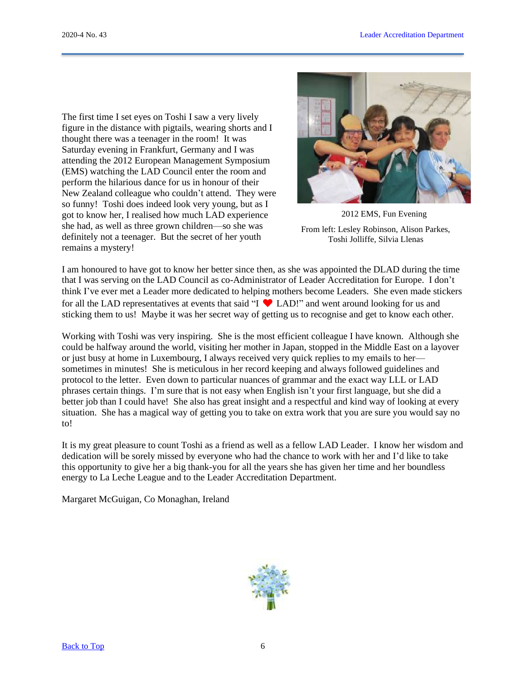The first time I set eyes on Toshi I saw a very lively figure in the distance with pigtails, wearing shorts and I thought there was a teenager in the room! It was Saturday evening in Frankfurt, Germany and I was attending the 2012 European Management Symposium (EMS) watching the LAD Council enter the room and perform the hilarious dance for us in honour of their New Zealand colleague who couldn't attend. They were so funny! Toshi does indeed look very young, but as I got to know her, I realised how much LAD experience she had, as well as three grown children—so she was definitely not a teenager. But the secret of her youth remains a mystery!



2012 EMS, Fun Evening From left: Lesley Robinson, Alison Parkes, Toshi Jolliffe, Silvia Llenas

I am honoured to have got to know her better since then, as she was appointed the DLAD during the time that I was serving on the LAD Council as co-Administrator of Leader Accreditation for Europe. I don't think I've ever met a Leader more dedicated to helping mothers become Leaders. She even made stickers for all the LAD representatives at events that said "I  $\blacktriangledown$  LAD!" and went around looking for us and sticking them to us! Maybe it was her secret way of getting us to recognise and get to know each other.

Working with Toshi was very inspiring. She is the most efficient colleague I have known. Although she could be halfway around the world, visiting her mother in Japan, stopped in the Middle East on a layover or just busy at home in Luxembourg, I always received very quick replies to my emails to her sometimes in minutes! She is meticulous in her record keeping and always followed guidelines and protocol to the letter. Even down to particular nuances of grammar and the exact way LLL or LAD phrases certain things. I'm sure that is not easy when English isn't your first language, but she did a better job than I could have! She also has great insight and a respectful and kind way of looking at every situation. She has a magical way of getting you to take on extra work that you are sure you would say no to!

It is my great pleasure to count Toshi as a friend as well as a fellow LAD Leader. I know her wisdom and dedication will be sorely missed by everyone who had the chance to work with her and I'd like to take this opportunity to give her a big thank-you for all the years she has given her time and her boundless energy to La Leche League and to the Leader Accreditation Department.

Margaret McGuigan, Co Monaghan, Ireland

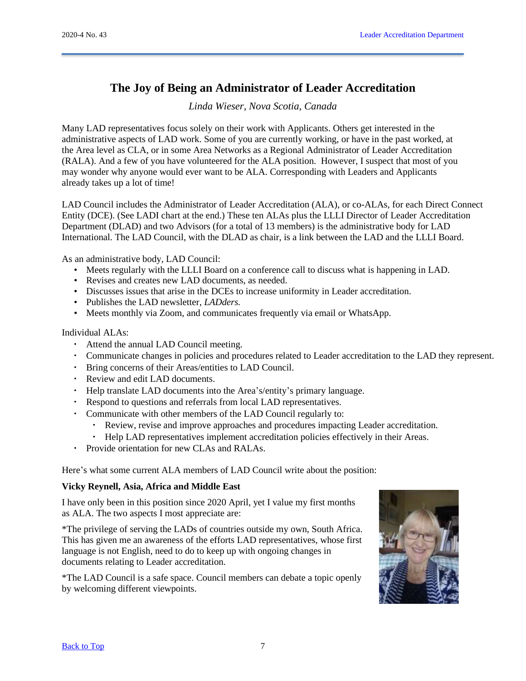# <span id="page-6-0"></span>**The Joy of Being an Administrator of Leader Accreditation**

*Linda Wieser, Nova Scotia, Canada*

Many LAD representatives focus solely on their work with Applicants. Others get interested in the administrative aspects of LAD work. Some of you are currently working, or have in the past worked, at the Area level as CLA, or in some Area Networks as a Regional Administrator of Leader Accreditation (RALA). And a few of you have volunteered for the ALA position. However, I suspect that most of you may wonder why anyone would ever want to be ALA. Corresponding with Leaders and Applicants already takes up a lot of time!

LAD Council includes the Administrator of Leader Accreditation (ALA), or co-ALAs, for each Direct Connect Entity (DCE). (See LADI chart at the end.) These ten ALAs plus the LLLI Director of Leader Accreditation Department (DLAD) and two Advisors (for a total of 13 members) is the administrative body for LAD International. The LAD Council, with the DLAD as chair, is a link between the LAD and the LLLI Board.

As an administrative body, LAD Council:

- Meets regularly with the LLLI Board on a conference call to discuss what is happening in LAD.
- Revises and creates new LAD documents, as needed.
- Discusses issues that arise in the DCEs to increase uniformity in Leader accreditation.
- Publishes the LAD newsletter, *LADders.*
- Meets monthly via Zoom, and communicates frequently via email or WhatsApp.

Individual ALAs:

- Attend the annual LAD Council meeting.
- Communicate changes in policies and procedures related to Leader accreditation to the LAD they represent.
- Bring concerns of their Areas/entities to LAD Council.
- Review and edit LAD documents.
- Help translate LAD documents into the Area's/entity's primary language.
- Respond to questions and referrals from local LAD representatives.
- Communicate with other members of the LAD Council regularly to:
	- Review, revise and improve approaches and procedures impacting Leader accreditation.
	- Help LAD representatives implement accreditation policies effectively in their Areas.
- Provide orientation for new CLAs and RALAs.

Here's what some current ALA members of LAD Council write about the position:

## **Vicky Reynell, Asia, Africa and Middle East**

I have only been in this position since 2020 April, yet I value my first months as ALA. The two aspects I most appreciate are:

\*The privilege of serving the LADs of countries outside my own, South Africa. This has given me an awareness of the efforts LAD representatives, whose first language is not English, need to do to keep up with ongoing changes in documents relating to Leader accreditation.

\*The LAD Council is a safe space. Council members can debate a topic openly by welcoming different viewpoints.

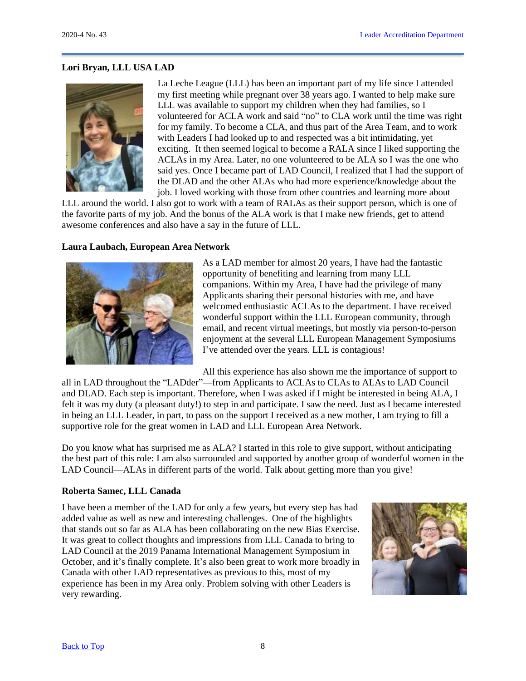## **Lori Bryan, LLL USA LAD**



La Leche League (LLL) has been an important part of my life since I attended my first meeting while pregnant over 38 years ago. I wanted to help make sure LLL was available to support my children when they had families, so I volunteered for ACLA work and said "no" to CLA work until the time was right for my family. To become a CLA, and thus part of the Area Team, and to work with Leaders I had looked up to and respected was a bit intimidating, yet exciting. It then seemed logical to become a RALA since I liked supporting the ACLAs in my Area. Later, no one volunteered to be ALA so I was the one who said yes. Once I became part of LAD Council, I realized that I had the support of the DLAD and the other ALAs who had more experience/knowledge about the job. I loved working with those from other countries and learning more about

LLL around the world. I also got to work with a team of RALAs as their support person, which is one of the favorite parts of my job. And the bonus of the ALA work is that I make new friends, get to attend awesome conferences and also have a say in the future of LLL.

### **Laura Laubach, European Area Network**



As a LAD member for almost 20 years, I have had the fantastic opportunity of benefiting and learning from many LLL companions. Within my Area, I have had the privilege of many Applicants sharing their personal histories with me, and have welcomed enthusiastic ACLAs to the department. I have received wonderful support within the LLL European community, through email, and recent virtual meetings, but mostly via person-to-person enjoyment at the several LLL European Management Symposiums I've attended over the years. LLL is contagious!

All this experience has also shown me the importance of support to

all in LAD throughout the "LADder"—from Applicants to ACLAs to CLAs to ALAs to LAD Council and DLAD. Each step is important. Therefore, when I was asked if I might be interested in being ALA, I felt it was my duty (a pleasant duty!) to step in and participate. I saw the need. Just as I became interested in being an LLL Leader, in part, to pass on the support I received as a new mother, I am trying to fill a supportive role for the great women in LAD and LLL European Area Network.

Do you know what has surprised me as ALA? I started in this role to give support, without anticipating the best part of this role: I am also surrounded and supported by another group of wonderful women in the LAD Council—ALAs in different parts of the world. Talk about getting more than you give!

#### **Roberta Samec, LLL Canada**

I have been a member of the LAD for only a few years, but every step has had added value as well as new and interesting challenges. One of the highlights that stands out so far as ALA has been collaborating on the new Bias Exercise. It was great to collect thoughts and impressions from LLL Canada to bring to LAD Council at the 2019 Panama International Management Symposium in October, and it's finally complete. It's also been great to work more broadly in Canada with other LAD representatives as previous to this, most of my experience has been in my Area only. Problem solving with other Leaders is very rewarding.

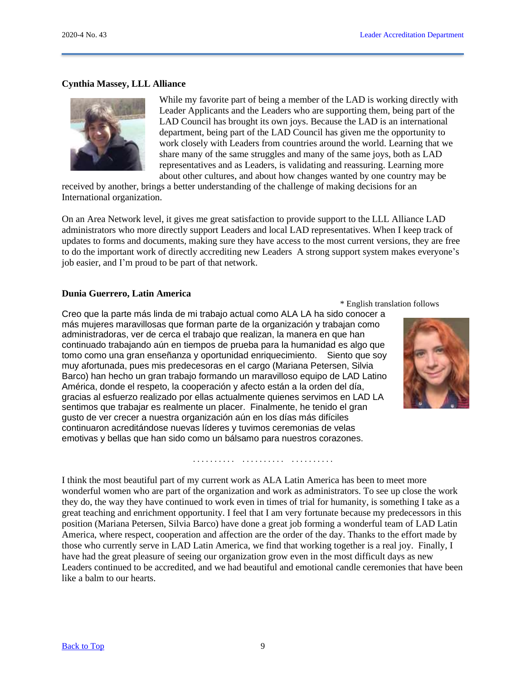### **Cynthia Massey, LLL Alliance**



While my favorite part of being a member of the LAD is working directly with Leader Applicants and the Leaders who are supporting them, being part of the LAD Council has brought its own joys. Because the LAD is an international department, being part of the LAD Council has given me the opportunity to work closely with Leaders from countries around the world. Learning that we share many of the same struggles and many of the same joys, both as LAD representatives and as Leaders, is validating and reassuring. Learning more about other cultures, and about how changes wanted by one country may be

received by another, brings a better understanding of the challenge of making decisions for an International organization.

On an Area Network level, it gives me great satisfaction to provide support to the LLL Alliance LAD administrators who more directly support Leaders and local LAD representatives. When I keep track of updates to forms and documents, making sure they have access to the most current versions, they are free to do the important work of directly accrediting new Leaders A strong support system makes everyone's job easier, and I'm proud to be part of that network.

#### **Dunia Guerrero, Latin America**

\* English translation follows Creo que la parte más linda de mi trabajo actual como ALA LA ha sido conocer a más mujeres maravillosas que forman parte de la organización y trabajan como administradoras, ver de cerca el trabajo que realizan, la manera en que han continuado trabajando aún en tiempos de prueba para la humanidad es algo que tomo como una gran enseñanza y oportunidad enriquecimiento. Siento que soy muy afortunada, pues mis predecesoras en el cargo (Mariana Petersen, Silvia Barco) han hecho un gran trabajo formando un maravilloso equipo de LAD Latino América, donde el respeto, la cooperación y afecto están a la orden del día, gracias al esfuerzo realizado por ellas actualmente quienes servimos en LAD LA sentimos que trabajar es realmente un placer. Finalmente, he tenido el gran gusto de ver crecer a nuestra organización aún en los días más difíciles continuaron acreditándose nuevas líderes y tuvimos ceremonias de velas emotivas y bellas que han sido como un bálsamo para nuestros corazones.



I think the most beautiful part of my current work as ALA Latin America has been to meet more wonderful women who are part of the organization and work as administrators. To see up close the work they do, the way they have continued to work even in times of trial for humanity, is something I take as a great teaching and enrichment opportunity. I feel that I am very fortunate because my predecessors in this position (Mariana Petersen, Silvia Barco) have done a great job forming a wonderful team of LAD Latin America, where respect, cooperation and affection are the order of the day. Thanks to the effort made by those who currently serve in LAD Latin America, we find that working together is a real joy. Finally, I have had the great pleasure of seeing our organization grow even in the most difficult days as new Leaders continued to be accredited, and we had beautiful and emotional candle ceremonies that have been like a balm to our hearts.

. . . . . . . . . . . . . . . . . . . . . . . . . . . . . .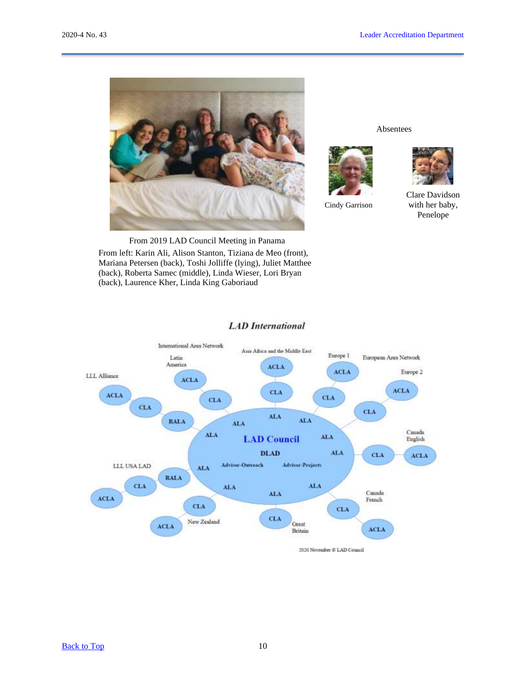

Absentees



Cindy Garrison



Clare Davidson with her baby, Penelope

From 2019 LAD Council Meeting in Panama From left: Karin Ali, Alison Stanton, Tiziana de Meo (front), Mariana Petersen (back), Toshi Jolliffe (lying), Juliet Matthee (back), Roberta Samec (middle), Linda Wieser, Lori Bryan (back), Laurence Kher, Linda King Gaboriaud



#### **LAD** International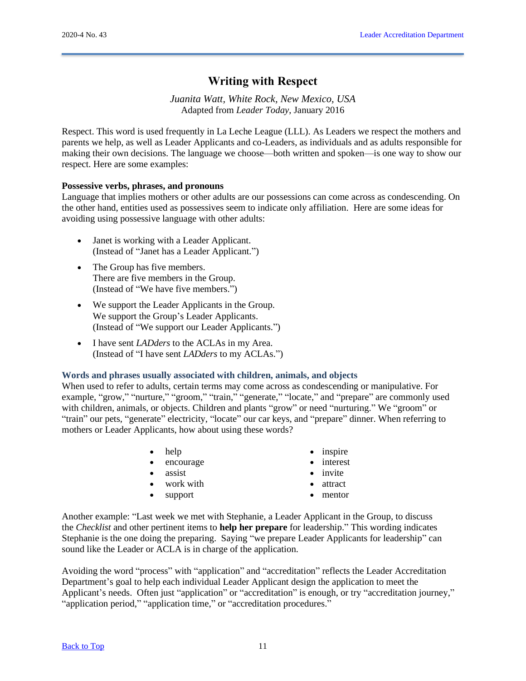# <span id="page-10-0"></span>**Writing with Respect**

*Juanita Watt, White Rock, New Mexico, USA* Adapted from *Leader Today*, January 2016

Respect. This word is used frequently in La Leche League (LLL). As Leaders we respect the mothers and parents we help, as well as Leader Applicants and co-Leaders, as individuals and as adults responsible for making their own decisions. The language we choose—both written and spoken—is one way to show our respect. Here are some examples:

## **Possessive verbs, phrases, and pronouns**

Language that implies mothers or other adults are our possessions can come across as condescending. On the other hand, entities used as possessives seem to indicate only affiliation. Here are some ideas for avoiding using possessive language with other adults:

- Janet is working with a Leader Applicant. (Instead of "Janet has a Leader Applicant.")
- The Group has five members. There are five members in the Group. (Instead of "We have five members.")
- We support the Leader Applicants in the Group. We support the Group's Leader Applicants. (Instead of "We support our Leader Applicants.")
- I have sent *LADders* to the ACLAs in my Area. (Instead of "I have sent *LADders* to my ACLAs.")

## **Words and phrases usually associated with children, animals, and objects**

When used to refer to adults, certain terms may come across as condescending or manipulative. For example, "grow," "nurture," "groom," "train," "generate," "locate," and "prepare" are commonly used with children, animals, or objects. Children and plants "grow" or need "nurturing." We "groom" or "train" our pets, "generate" electricity, "locate" our car keys, and "prepare" dinner. When referring to mothers or Leader Applicants, how about using these words?

- help
- encourage
- assist
- work with
- support
- inspire
- interest
- invite
- attract
- mentor

Another example: "Last week we met with Stephanie, a Leader Applicant in the Group, to discuss the *Checklist* and other pertinent items to **help her prepare** for leadership." This wording indicates Stephanie is the one doing the preparing. Saying "we prepare Leader Applicants for leadership" can sound like the Leader or ACLA is in charge of the application.

Avoiding the word "process" with "application" and "accreditation" reflects the Leader Accreditation Department's goal to help each individual Leader Applicant design the application to meet the Applicant's needs. Often just "application" or "accreditation" is enough, or try "accreditation journey," "application period," "application time," or "accreditation procedures."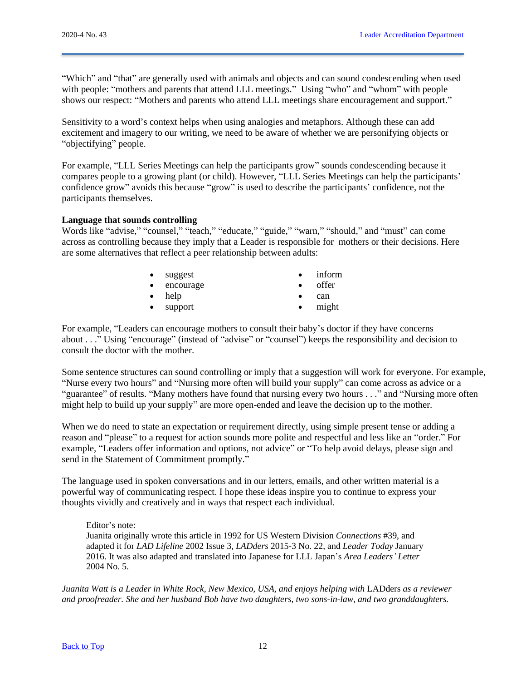"Which" and "that" are generally used with animals and objects and can sound condescending when used with people: "mothers and parents that attend LLL meetings." Using "who" and "whom" with people shows our respect: "Mothers and parents who attend LLL meetings share encouragement and support."

Sensitivity to a word's context helps when using analogies and metaphors. Although these can add excitement and imagery to our writing, we need to be aware of whether we are personifying objects or "objectifying" people.

For example, "LLL Series Meetings can help the participants grow" sounds condescending because it compares people to a growing plant (or child). However, "LLL Series Meetings can help the participants' confidence grow" avoids this because "grow" is used to describe the participants' confidence, not the participants themselves.

## **Language that sounds controlling**

Words like "advise," "counsel," "teach," "educate," "guide," "warn," "should," and "must" can come across as controlling because they imply that a Leader is responsible for mothers or their decisions. Here are some alternatives that reflect a peer relationship between adults:

| $\bullet$ suggest   | inform |
|---------------------|--------|
| $\bullet$ encourage | offer  |
| $\bullet$ help      | can    |
| $\bullet$ support   | might  |

For example, "Leaders can encourage mothers to consult their baby's doctor if they have concerns about . . ." Using "encourage" (instead of "advise" or "counsel") keeps the responsibility and decision to consult the doctor with the mother.

Some sentence structures can sound controlling or imply that a suggestion will work for everyone. For example, "Nurse every two hours" and "Nursing more often will build your supply" can come across as advice or a "guarantee" of results. "Many mothers have found that nursing every two hours . . ." and "Nursing more often might help to build up your supply" are more open-ended and leave the decision up to the mother.

When we do need to state an expectation or requirement directly, using simple present tense or adding a reason and "please" to a request for action sounds more polite and respectful and less like an "order." For example, "Leaders offer information and options, not advice" or "To help avoid delays, please sign and send in the Statement of Commitment promptly."

The language used in spoken conversations and in our letters, emails, and other written material is a powerful way of communicating respect. I hope these ideas inspire you to continue to express your thoughts vividly and creatively and in ways that respect each individual.

Editor's note: Juanita originally wrote this article in 1992 for US Western Division *Connections* #39, and adapted it for *LAD Lifeline* 2002 Issue 3*, LADders* 2015-3 No. 22, and *Leader Today* January 2016. It was also adapted and translated into Japanese for LLL Japan's *Area Leaders' Letter* 2004 No. 5.

*Juanita Watt is a Leader in White Rock, New Mexico, USA, and enjoys helping with* LADders *as a reviewer and proofreader. She and her husband Bob have two daughters, two sons-in-law, and two granddaughters.*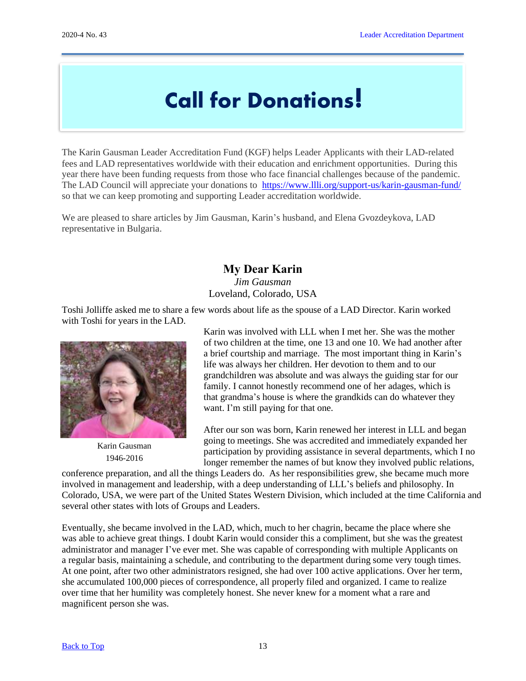# Call for Donations!

<span id="page-12-0"></span>The Karin Gausman Leader Accreditation Fund (KGF) helps Leader Applicants with their LAD-related fees and LAD representatives worldwide with their education and enrichment opportunities. During this year there have been funding requests from those who face financial challenges because of the pandemic. The LAD Council will appreciate your donations to <https://www.llli.org/support-us/karin-gausman-fund/> so that we can keep promoting and supporting Leader accreditation worldwide.

We are pleased to share articles by Jim Gausman, Karin's husband, and Elena Gvozdeykova, LAD representative in Bulgaria.

# <span id="page-12-1"></span>**My Dear Karin**

*Jim Gausman* Loveland, Colorado, USA

Toshi Jolliffe asked me to share a few words about life as the spouse of a LAD Director. Karin worked with Toshi for years in the LAD.



Karin Gausman 1946-2016

Karin was involved with LLL when I met her. She was the mother of two children at the time, one 13 and one 10. We had another after a brief courtship and marriage. The most important thing in Karin's life was always her children. Her devotion to them and to our grandchildren was absolute and was always the guiding star for our family. I cannot honestly recommend one of her adages, which is that grandma's house is where the grandkids can do whatever they want. I'm still paying for that one.

After our son was born, Karin renewed her interest in LLL and began going to meetings. She was accredited and immediately expanded her participation by providing assistance in several departments, which I no longer remember the names of but know they involved public relations,

conference preparation, and all the things Leaders do. As her responsibilities grew, she became much more involved in management and leadership, with a deep understanding of LLL's beliefs and philosophy. In Colorado, USA, we were part of the United States Western Division, which included at the time California and several other states with lots of Groups and Leaders.

Eventually, she became involved in the LAD, which, much to her chagrin, became the place where she was able to achieve great things. I doubt Karin would consider this a compliment, but she was the greatest administrator and manager I've ever met. She was capable of corresponding with multiple Applicants on a regular basis, maintaining a schedule, and contributing to the department during some very tough times. At one point, after two other administrators resigned, she had over 100 active applications. Over her term, she accumulated 100,000 pieces of correspondence, all properly filed and organized. I came to realize over time that her humility was completely honest. She never knew for a moment what a rare and magnificent person she was.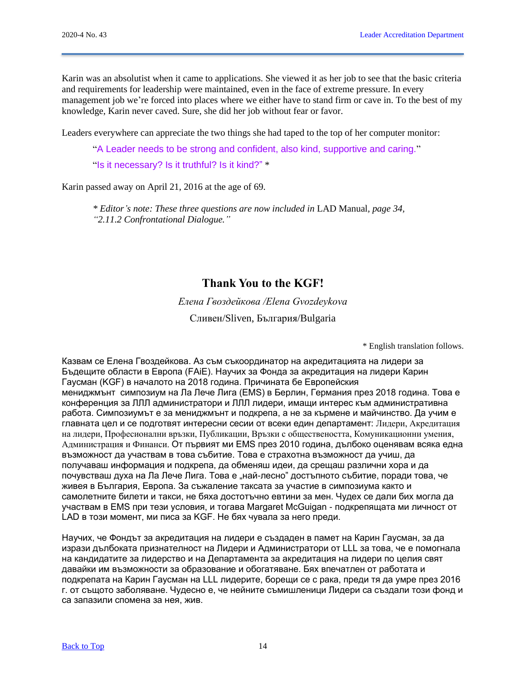Karin was an absolutist when it came to applications. She viewed it as her job to see that the basic criteria and requirements for leadership were maintained, even in the face of extreme pressure. In every management job we're forced into places where we either have to stand firm or cave in. To the best of my knowledge, Karin never caved. Sure, she did her job without fear or favor.

Leaders everywhere can appreciate the two things she had taped to the top of her computer monitor:

"A Leader needs to be strong and confident, also kind, supportive and caring."

"Is it necessary? Is it truthful? Is it kind?" \*

Karin passed away on April 21, 2016 at the age of 69.

*\* Editor's note: These three questions are now included in* LAD Manual*, page 34, "2.11.2 Confrontational Dialogue."*

# <span id="page-13-0"></span>**Thank You to the KGF!**

*Елена Гвоздейкова /Elena Gvozdeykova*

Сливен/Sliven, България/Bulgaria

\* English translation follows.

Казвам се Елена Гвоздейкова. Аз съм съкоординатор на акредитацията на лидери за Бъдещите области в Европа (FAiE). Научих за Фонда за акредитация на лидери Карин Гаусман (KGF) в началото на 2018 година. Причината бе Европейския мениджмънт симпозиум на Ла Лече Лига (EMS) в Берлин, Германия през 2018 година. Това е конференция за ЛЛЛ администратори и ЛЛЛ лидери, имащи интерес към административна работа. Симпозиумът е за мениджмънт и подкрепа, а не за кърмене и майчинство. Да учим е главната цел и се подготвят интересни сесии от всеки един департамент: Лидери, Акредитация на лидери, Професионални връзки, Публикации, Връзки с обществеността, Комуникационни умения, Администрация и Финанси. От първият ми EMS през 2010 година, дълбоко оценявам всяка една възможност да участвам в това събитие. Това е страхотна възможност да учиш, да получаваш информация и подкрепа, да обменяш идеи, да срещаш различни хора и да почувстваш духа на Ла Лече Лига. Това е "най-лесно" достъпното събитие, поради това, че живея в България, Европа. За съжаление таксата за участие в симпозиума както и самолетните билети и такси, не бяха достотъчно евтини за мен. Чудех се дали бих могла да участвам в EMS при тези условия, и тогава Margaret McGuigan - подкрепящата ми личност от LAD в този момент, ми писа за KGF. Не бях чувала за него преди.

Научих, че Фондът за акредитация на лидери е създаден в памет на Карин Гаусман, за да изрази дълбоката признателност на Лидери и Администратори от LLL за това, че е помогнала на кандидатите за лидерство и на Департамента за акредитация на лидери по целия свят давайки им възможности за образование и обогатяване. Бях впечатлен от работата и подкрепата на Карин Гаусман на LLL лидерите, борещи се с рака, преди тя да умре през 2016 г. от същото заболяване. Чудесно е, че нейните съмишленици Лидери са създали този фонд и са запазили спомена за нея, жив.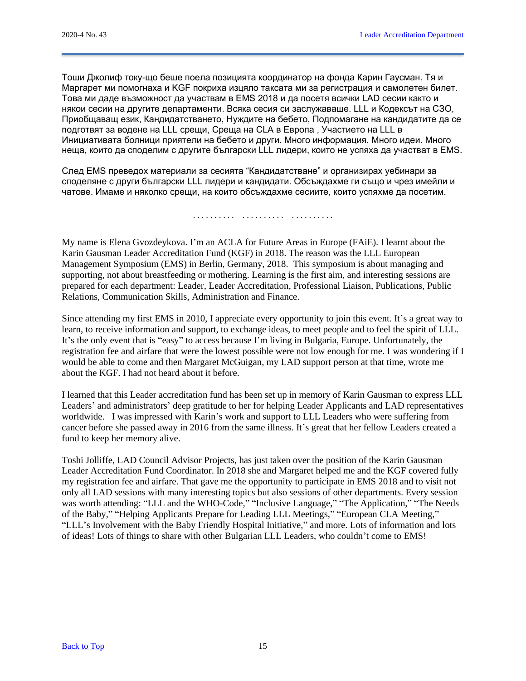Тоши Джолиф току-що беше поела позицията координатор на фонда Карин Гаусман. Тя и Маргарет ми помогнаха и KGF покриха изцяло таксата ми за регистрация и самолетен билет. Това ми даде възможност да участвам в EMS 2018 и да посетя всички LAD сесии както и някои сесии на другите департаменти. Всяка сесия си заслужаваше. LLL и Кодексът на СЗО, Приобщаващ език, Кандидатстването, Нуждите на бебето, Подпомагане на кандидатите да се подготвят за водене на LLL срещи, Среща на CLA в Европа , Участието на LLL в Инициативата болници приятели на бебето и други. Много информация. Много идеи. Много неща, които да споделим с другите български LLL лидери, които не успяха да участват в EMS.

След EMS преведох материали за сесията "Кандидатстване" и организирах уебинари за споделяне с други български LLL лидери и кандидати. Обсъждахме ги също и чрез имейли и чатове. Имаме и няколко срещи, на които обсъждахме сесиите, които успяхме да посетим.

. . . . . . . . . . . . . . . . . . . . . . . . . . . . . .

My name is Elena Gvozdeykova. I'm an ACLA for Future Areas in Europe (FAiE). I learnt about the Karin Gausman Leader Accreditation Fund (KGF) in 2018. The reason was the LLL European Management Symposium (EMS) in Berlin, Germany, 2018. This symposium is about managing and supporting, not about breastfeeding or mothering. Learning is the first aim, and interesting sessions are prepared for each department: Leader, Leader Accreditation, Professional Liaison, Publications, Public Relations, Communication Skills, Administration and Finance.

Since attending my first EMS in 2010, I appreciate every opportunity to join this event. It's a great way to learn, to receive information and support, to exchange ideas, to meet people and to feel the spirit of LLL. It's the only event that is "easy" to access because I'm living in Bulgaria, Europe. Unfortunately, the registration fee and airfare that were the lowest possible were not low enough for me. I was wondering if I would be able to come and then Margaret McGuigan, my LAD support person at that time, wrote me about the KGF. I had not heard about it before.

I learned that this Leader accreditation fund has been set up in memory of Karin Gausman to express LLL Leaders' and administrators' deep gratitude to her for helping Leader Applicants and LAD representatives worldwide. I was impressed with Karin's work and support to LLL Leaders who were suffering from cancer before she passed away in 2016 from the same illness. It's great that her fellow Leaders created a fund to keep her memory alive.

Toshi Jolliffe, LAD Council Advisor Projects, has just taken over the position of the Karin Gausman Leader Accreditation Fund Coordinator. In 2018 she and Margaret helped me and the KGF covered fully my registration fee and airfare. That gave me the opportunity to participate in EMS 2018 and to visit not only all LAD sessions with many interesting topics but also sessions of other departments. Every session was worth attending: "LLL and the WHO-Code," "Inclusive Language," "The Application," "The Needs of the Baby," "Helping Applicants Prepare for Leading LLL Meetings," "European CLA Meeting," "LLL's Involvement with the Baby Friendly Hospital Initiative," and more. Lots of information and lots of ideas! Lots of things to share with other Bulgarian LLL Leaders, who couldn't come to EMS!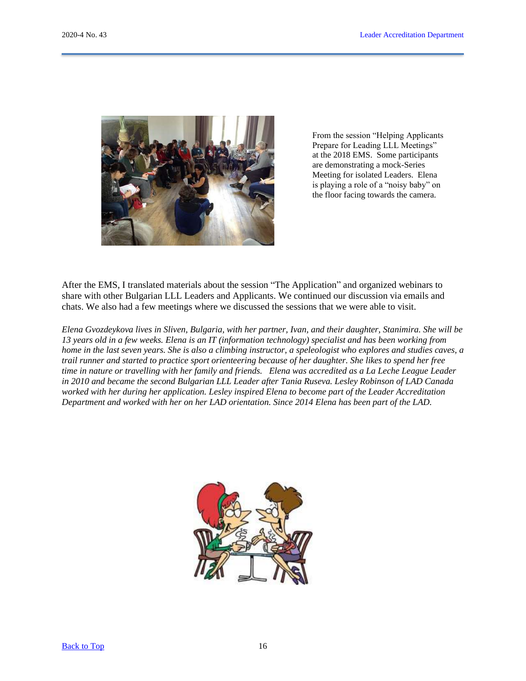

From the session "Helping Applicants Prepare for Leading LLL Meetings" at the 2018 EMS. Some participants are demonstrating a mock-Series Meeting for isolated Leaders. Elena is playing a role of a "noisy baby" on the floor facing towards the camera.

After the EMS, I translated materials about the session "The Application" and organized webinars to share with other Bulgarian LLL Leaders and Applicants. We continued our discussion via emails and chats. We also had a few meetings where we discussed the sessions that we were able to visit.

*Elena Gvozdeykova lives in Sliven, Bulgaria, with her partner, Ivan, and their daughter, Stanimira. She will be 13 years old in a few weeks. Elena is an IT (information technology) specialist and has been working from home in the last seven years. She is also a climbing instructor, a speleologist who explores and studies caves, a trail runner and started to practice sport orienteering because of her daughter. She likes to spend her free time in nature or travelling with her family and friends. Elena was accredited as a La Leche League Leader in 2010 and became the second Bulgarian LLL Leader after Tania Ruseva. Lesley Robinson of LAD Canada worked with her during her application. Lesley inspired Elena to become part of the Leader Accreditation Department and worked with her on her LAD orientation. Since 2014 Elena has been part of the LAD.*

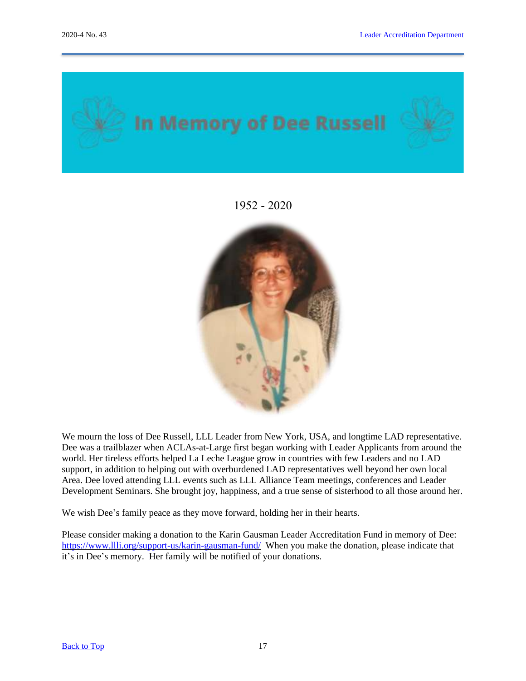<span id="page-16-0"></span>

1952 - 2020



We mourn the loss of Dee Russell, LLL Leader from New York, USA, and longtime LAD representative. Dee was a trailblazer when ACLAs-at-Large first began working with Leader Applicants from around the world. Her tireless efforts helped La Leche League grow in countries with few Leaders and no LAD support, in addition to helping out with overburdened LAD representatives well beyond her own local Area. Dee loved attending LLL events such as LLL Alliance Team meetings, conferences and Leader Development Seminars. She brought joy, happiness, and a true sense of sisterhood to all those around her.

We wish Dee's family peace as they move forward, holding her in their hearts.

Please consider making a donation to the Karin Gausman Leader Accreditation Fund in memory of Dee: <https://www.llli.org/support-us/karin-gausman-fund/>When you make the donation, please indicate that it's in Dee's memory. Her family will be notified of your donations.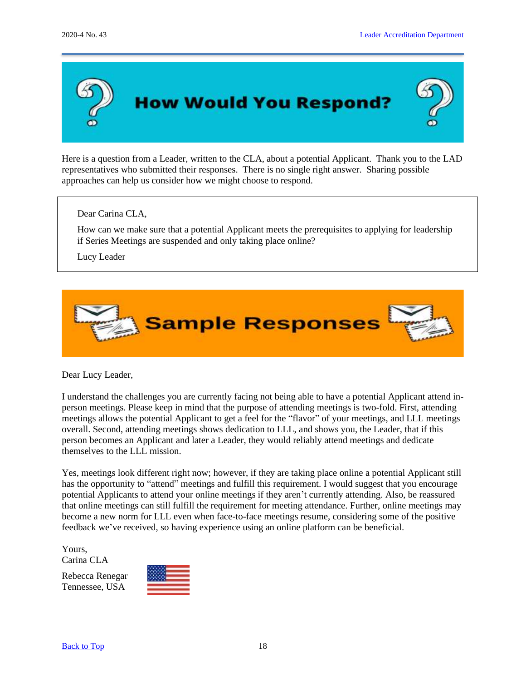

<span id="page-17-0"></span>Here is a question from a Leader, written to the CLA, about a potential Applicant. Thank you to the LAD representatives who submitted their responses. There is no single right answer. Sharing possible approaches can help us consider how we might choose to respond.

Dear Carina CLA,

How can we make sure that a potential Applicant meets the prerequisites to applying for leadership if Series Meetings are suspended and only taking place online?

Lucy Leader



Dear Lucy Leader,

I understand the challenges you are currently facing not being able to have a potential Applicant attend inperson meetings. Please keep in mind that the purpose of attending meetings is two-fold. First, attending meetings allows the potential Applicant to get a feel for the "flavor" of your meetings, and LLL meetings overall. Second, attending meetings shows dedication to LLL, and shows you, the Leader, that if this person becomes an Applicant and later a Leader, they would reliably attend meetings and dedicate themselves to the LLL mission.

Yes, meetings look different right now; however, if they are taking place online a potential Applicant still has the opportunity to "attend" meetings and fulfill this requirement. I would suggest that you encourage potential Applicants to attend your online meetings if they aren't currently attending. Also, be reassured that online meetings can still fulfill the requirement for meeting attendance. Further, online meetings may become a new norm for LLL even when face-to-face meetings resume, considering some of the positive feedback we've received, so having experience using an online platform can be beneficial.

Yours, Carina CLA

Rebecca Renegar Tennessee, USA

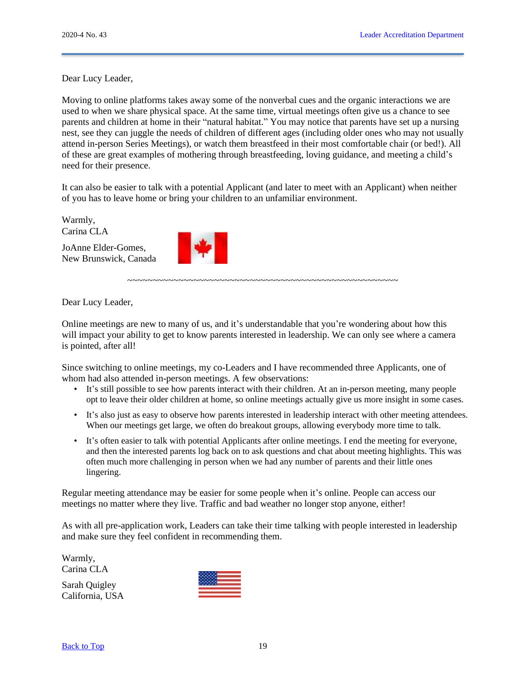Dear Lucy Leader,

Moving to online platforms takes away some of the nonverbal cues and the organic interactions we are used to when we share physical space. At the same time, virtual meetings often give us a chance to see parents and children at home in their "natural habitat." You may notice that parents have set up a nursing nest, see they can juggle the needs of children of different ages (including older ones who may not usually attend in-person Series Meetings), or watch them breastfeed in their most comfortable chair (or bed!). All of these are great examples of mothering through breastfeeding, loving guidance, and meeting a child's need for their presence.

It can also be easier to talk with a potential Applicant (and later to meet with an Applicant) when neither of you has to leave home or bring your children to an unfamiliar environment.

Warmly, Carina CLA

JoAnne Elder-Gomes, New Brunswick, Canada



Dear Lucy Leader,

Online meetings are new to many of us, and it's understandable that you're wondering about how this will impact your ability to get to know parents interested in leadership. We can only see where a camera is pointed, after all!

~~~~~~~~~~~~~~~~~~~~~~~~~~~~~~~~~~~~~~~~~~~~~~~~~~~~~

Since switching to online meetings, my co-Leaders and I have recommended three Applicants, one of whom had also attended in-person meetings. A few observations:

- It's still possible to see how parents interact with their children. At an in-person meeting, many people opt to leave their older children at home, so online meetings actually give us more insight in some cases.
- It's also just as easy to observe how parents interested in leadership interact with other meeting attendees. When our meetings get large, we often do breakout groups, allowing everybody more time to talk.
- It's often easier to talk with potential Applicants after online meetings. I end the meeting for everyone, and then the interested parents log back on to ask questions and chat about meeting highlights. This was often much more challenging in person when we had any number of parents and their little ones lingering.

Regular meeting attendance may be easier for some people when it's online. People can access our meetings no matter where they live. Traffic and bad weather no longer stop anyone, either!

As with all pre-application work, Leaders can take their time talking with people interested in leadership and make sure they feel confident in recommending them.

Warmly, Carina CLA

Sarah Quigley California, USA

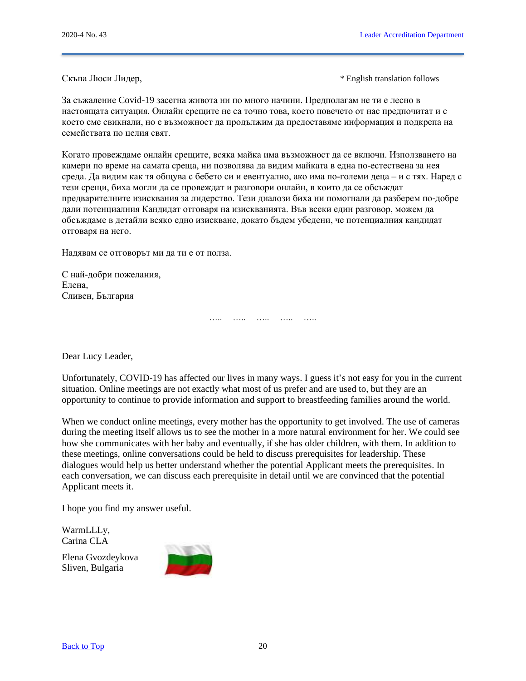Скъпа Люси Лидер, \* English translation follows

За съжаление Covid-19 засегна живота ни по много начини. Предполагам не ти е лесно в настоящата ситуация. Онлайн срещите не са точно това, което повечето от нас предпочитат и с което сме свикнали, но е възможност да продължим да предоставяме информация и подкрепа на семействата по целия свят.

Когато провеждаме онлайн срещите, всяка майка има възможност да се включи. Използването на камери по време на самата среща, ни позволява да видим майката в една по-естествена за нея среда. Да видим как тя общува с бебето си и евентуално, ако има по-големи деца – и с тях. Наред с тези срещи, биха могли да се провеждат и разговори онлайн, в които да се обсъждат предварителните изисквания за лидерство. Тези диалози биха ни помогнали да разберем по-добре дали потенциалния Кандидат отговаря на изискванията. Във всеки един разговор, можем да обсъждаме в детайли всяко едно изискване, докато бъдем убедени, че потенциалния кандидат отговаря на него.

Надявам се отговорът ми да ти е от полза.

С най-добри пожелания, Елена, Сливен, България

Dear Lucy Leader,

Unfortunately, COVID-19 has affected our lives in many ways. I guess it's not easy for you in the current situation. Online meetings are not exactly what most of us prefer and are used to, but they are an opportunity to continue to provide information and support to breastfeeding families around the world.

….. ….. ….. ….. …..

When we conduct online meetings, every mother has the opportunity to get involved. The use of cameras during the meeting itself allows us to see the mother in a more natural environment for her. We could see how she communicates with her baby and eventually, if she has older children, with them. In addition to these meetings, online conversations could be held to discuss prerequisites for leadership. These dialogues would help us better understand whether the potential Applicant meets the prerequisites. In each conversation, we can discuss each prerequisite in detail until we are convinced that the potential Applicant meets it.

I hope you find my answer useful.

WarmLLLy, Carina CLA

Elena Gvozdeykova Sliven, Bulgaria

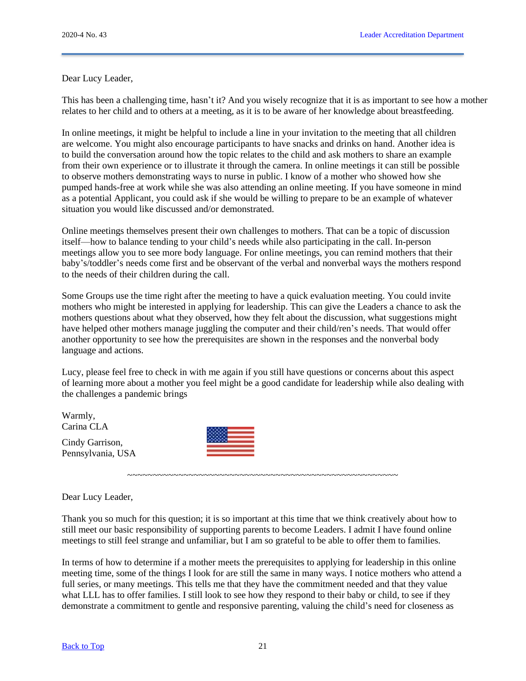Dear Lucy Leader,

This has been a challenging time, hasn't it? And you wisely recognize that it is as important to see how a mother relates to her child and to others at a meeting, as it is to be aware of her knowledge about breastfeeding.

In online meetings, it might be helpful to include a line in your invitation to the meeting that all children are welcome. You might also encourage participants to have snacks and drinks on hand. Another idea is to build the conversation around how the topic relates to the child and ask mothers to share an example from their own experience or to illustrate it through the camera. In online meetings it can still be possible to observe mothers demonstrating ways to nurse in public. I know of a mother who showed how she pumped hands-free at work while she was also attending an online meeting. If you have someone in mind as a potential Applicant, you could ask if she would be willing to prepare to be an example of whatever situation you would like discussed and/or demonstrated.

Online meetings themselves present their own challenges to mothers. That can be a topic of discussion itself—how to balance tending to your child's needs while also participating in the call. In-person meetings allow you to see more body language. For online meetings, you can remind mothers that their baby's/toddler's needs come first and be observant of the verbal and nonverbal ways the mothers respond to the needs of their children during the call.

Some Groups use the time right after the meeting to have a quick evaluation meeting. You could invite mothers who might be interested in applying for leadership. This can give the Leaders a chance to ask the mothers questions about what they observed, how they felt about the discussion, what suggestions might have helped other mothers manage juggling the computer and their child/ren's needs. That would offer another opportunity to see how the prerequisites are shown in the responses and the nonverbal body language and actions.

Lucy, please feel free to check in with me again if you still have questions or concerns about this aspect of learning more about a mother you feel might be a good candidate for leadership while also dealing with the challenges a pandemic brings

Warmly, Carina CLA

Cindy Garrison, Pennsylvania, USA



Dear Lucy Leader,

Thank you so much for this question; it is so important at this time that we think creatively about how to still meet our basic responsibility of supporting parents to become Leaders. I admit I have found online meetings to still feel strange and unfamiliar, but I am so grateful to be able to offer them to families.

~~~~~~~~~~~~~~~~~~~~~~~~~~~~~~~~~~~~~~~~~~~~~~~~~~~~~

In terms of how to determine if a mother meets the prerequisites to applying for leadership in this online meeting time, some of the things I look for are still the same in many ways. I notice mothers who attend a full series, or many meetings. This tells me that they have the commitment needed and that they value what LLL has to offer families. I still look to see how they respond to their baby or child, to see if they demonstrate a commitment to gentle and responsive parenting, valuing the child's need for closeness as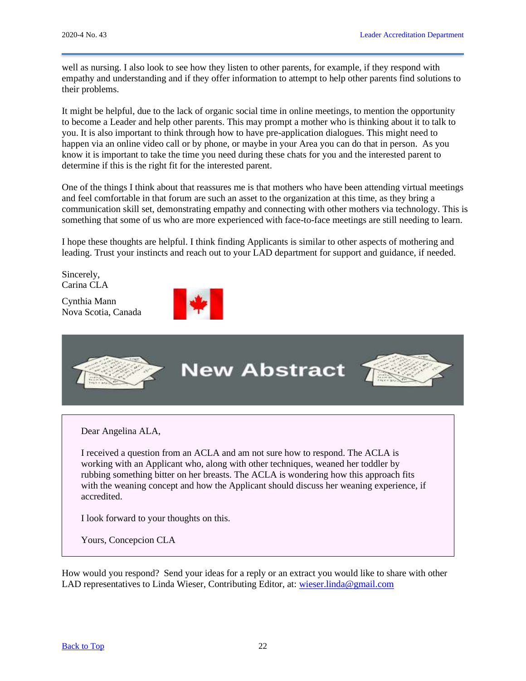well as nursing. I also look to see how they listen to other parents, for example, if they respond with empathy and understanding and if they offer information to attempt to help other parents find solutions to their problems.

It might be helpful, due to the lack of organic social time in online meetings, to mention the opportunity to become a Leader and help other parents. This may prompt a mother who is thinking about it to talk to you. It is also important to think through how to have pre-application dialogues. This might need to happen via an online video call or by phone, or maybe in your Area you can do that in person. As you know it is important to take the time you need during these chats for you and the interested parent to determine if this is the right fit for the interested parent.

One of the things I think about that reassures me is that mothers who have been attending virtual meetings and feel comfortable in that forum are such an asset to the organization at this time, as they bring a communication skill set, demonstrating empathy and connecting with other mothers via technology. This is something that some of us who are more experienced with face-to-face meetings are still needing to learn.

I hope these thoughts are helpful. I think finding Applicants is similar to other aspects of mothering and leading. Trust your instincts and reach out to your LAD department for support and guidance, if needed.

Sincerely, Carina CLA

Cynthia Mann Nova Scotia, Canada





Dear Angelina ALA,

I received a question from an ACLA and am not sure how to respond. The ACLA is working with an Applicant who, along with other techniques, weaned her toddler by rubbing something bitter on her breasts. The ACLA is wondering how this approach fits with the weaning concept and how the Applicant should discuss her weaning experience, if accredited.

I look forward to your thoughts on this.

Yours, Concepcion CLA

How would you respond? Send your ideas for a reply or an extract you would like to share with other LAD representatives to Linda Wieser, Contributing Editor, at: [wieser.linda@gmail.com](mailto:wieser.linda@gmail.com)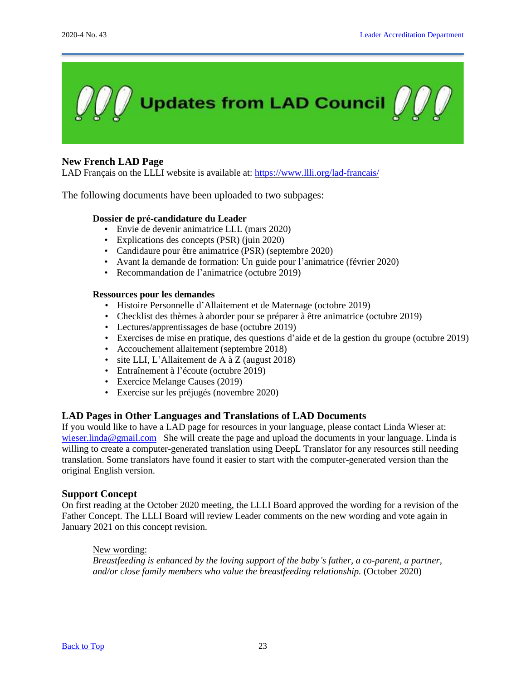

# <span id="page-22-0"></span>**New French LAD Page**

LAD Français on the LLLI website is available at: https://www.llli.org/lad-francais/

The following documents have been uploaded to two subpages:

# **Dossier de pré-candidature du Leader**

- Envie de devenir animatrice LLL (mars 2020)
- Explications des concepts (PSR) (juin 2020)
- Candidaure pour être animatrice (PSR) (septembre 2020)
- Avant la demande de formation: Un guide pour l'animatrice (février 2020)
- Recommandation de l'animatrice (octubre 2019)

#### **Ressources pour les demandes**

- Histoire Personnelle d'Allaitement et de Maternage (octobre 2019)
- Checklist des thèmes à aborder pour se préparer à être animatrice (octubre 2019)
- Lectures/apprentissages de base (octubre 2019)
- Exercises de mise en pratique, des questions d'aide et de la gestion du groupe (octubre 2019)
- Accouchement allaitement (septembre 2018)
- site LLI, L'Allaitement de A à Z (august 2018)
- Entraînement à l'écoute (octubre 2019)
- Exercice Melange Causes (2019)
- Exercise sur les préjugés (novembre 2020)

## **LAD Pages in Other Languages and Translations of LAD Documents**

If you would like to have a LAD page for resources in your language, please contact Linda Wieser at: wieser.linda@gmail.com She will create the page and upload the documents in your language. Linda is willing to create a computer-generated translation using DeepL Translator for any resources still needing translation. Some translators have found it easier to start with the computer-generated version than the original English version.

#### **Support Concept**

On first reading at the October 2020 meeting, the LLLI Board approved the wording for a revision of the Father Concept. The LLLI Board will review Leader comments on the new wording and vote again in January 2021 on this concept revision.

## New wording:

*Breastfeeding is enhanced by the loving support of the baby's father, a co-parent, a partner, and/or close family members who value the breastfeeding relationship.* (October 2020)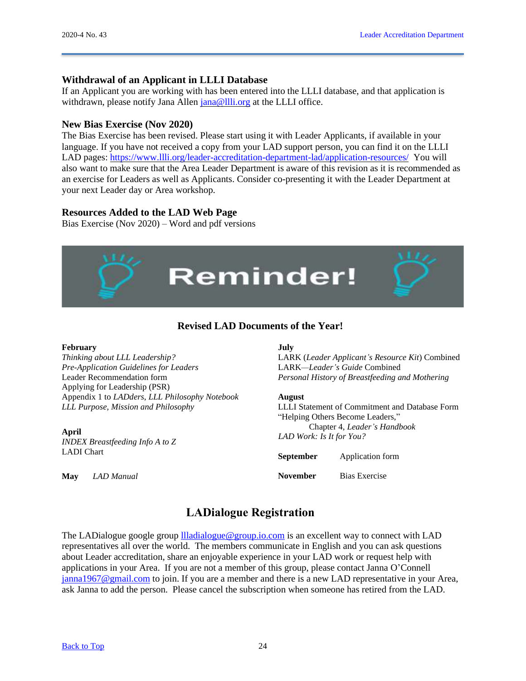# **Withdrawal of an Applicant in LLLI Database**

If an Applicant you are working with has been entered into the LLLI database, and that application is withdrawn, please notify Jana Allen [jana@llli.org](mailto:jana@llli.org) at the LLLI office.

## **New Bias Exercise (Nov 2020)**

The Bias Exercise has been revised. Please start using it with Leader Applicants, if available in your language. If you have not received a copy from your LAD support person, you can find it on the LLLI LAD pages: https://www.llli.org/leader-accreditation-department-lad/application-resources/ You will also want to make sure that the Area Leader Department is aware of this revision as it is recommended as an exercise for Leaders as well as Applicants. Consider co-presenting it with the Leader Department at your next Leader day or Area workshop.

# **Resources Added to the LAD Web Page**

Bias Exercise (Nov 2020) – Word and pdf versions



# <span id="page-23-1"></span>**Revised LAD Documents of the Year!**

#### <span id="page-23-0"></span>**February**

*Thinking about LLL Leadership? Pre-Application Guidelines for Leaders* Leader Recommendation form Applying for Leadership (PSR) Appendix 1 to *LADders*, *LLL Philosophy Notebook LLL Purpose, Mission and Philosophy*

**April** *INDEX Breastfeeding Info A to Z* LADI Chart

**May** *LAD Manual*

#### **July**

LARK (*Leader Applicant's Resource Kit*) Combined LARK*—Leader's Guide* Combined *Personal History of Breastfeeding and Mothering*

#### **August**

LLLI Statement of Commitment and Database Form "Helping Others Become Leaders," Chapter 4, *Leader's Handbook LAD Work: Is It for You?*

| <b>September</b> | Application form     |
|------------------|----------------------|
| <b>November</b>  | <b>Bias Exercise</b> |

# <span id="page-23-2"></span>**LADialogue Registration**

The LADialogue google group [llladialogue@group.io.com](mailto:llladialogue@group.io.com) is an excellent way to connect with LAD representatives all over the world. The members communicate in English and you can ask questions about Leader accreditation, share an enjoyable experience in your LAD work or request help with applications in your Area. If you are not a member of this group, please contact Janna O'Connell [janna1967@gmail.com](mailto:janna1967@gmail.com) to join. If you are a member and there is a new LAD representative in your Area, ask Janna to add the person. Please cancel the subscription when someone has retired from the LAD.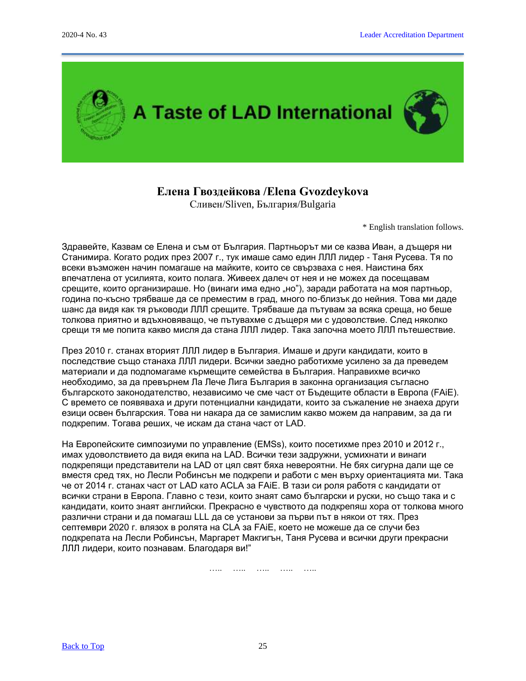

# **Елена Гвоздейкова /Elena Gvozdeykova**

Сливен/Sliven, България/Bulgaria

\* English translation follows.

<span id="page-24-0"></span>Здравейте, Казвам се Елена и съм от България. Партньорът ми се казва Иван, а дъщеря ни Станимира. Когато родих през 2007 г., тук имаше само един ЛЛЛ лидер - Таня Русева. Тя по всеки възможен начин помагаше на майките, които се свързваха с нея. Наистина бях впечатлена от усилията, които полага. Живеех далеч от нея и не можех да посещавам срещите, които организираше. Но (винаги има едно "но"), заради работата на моя партньор, година по-късно трябваше да се преместим в град, много по-близък до нейния. Това ми даде шанс да видя как тя ръководи ЛЛЛ срещите. Трябваше да пътувам за всяка среща, но беше толкова приятно и вдъхновяващо, че пътувахме с дъщеря ми с удоволствие. След няколко срещи тя ме попита какво мисля да стана ЛЛЛ лидер. Така започна моето ЛЛЛ пътешествие.

През 2010 г. станах вторият ЛЛЛ лидер в България. Имаше и други кандидати, които в последствие също станаха ЛЛЛ лидери. Всички заедно работихме усилено за да преведем материали и да подпомагаме кърмещите семейства в България. Направихме всичко необходимо, за да превърнем Ла Лече Лига България в законна организация съгласно българското законодателство, независимо че сме част от Бъдещите области в Европа (FAiE). С времето се появяваха и други потенциални кандидати, които за съжаление не знаеха други езици освен българския. Това ни накара да се замислим какво можем да направим, за да ги подкрепим. Тогава реших, че искам да стана част от LAD.

На Европейските симпозиуми по управление (EMSs), които посетихме през 2010 и 2012 г., имах удоволствието да видя екипа на LAD. Всички тези задружни, усмихнати и винаги подкрепящи представители на LAD от цял свят бяха невероятни. Не бях сигурна дали ще се вместя сред тях, но Лесли Робинсън ме подкрепи и работи с мен върху ориентацията ми. Така че от 2014 г. станах част от LAD като ACLA за FAiE. В тази си роля работя с кандидати от всички страни в Европа. Главно с тези, които знаят само български и руски, но също така и с кандидати, които знаят английски. Прекрасно е чувството да подкрепяш хора от толкова много различни страни и да помагаш LLL да се установи за първи път в някои от тях. През септември 2020 г. влязох в ролята на CLA за FAiE, което не можеше да се случи без подкрепата на Лесли Робинсън, Маргарет Макгигън, Таня Русева и всички други прекрасни ЛЛЛ лидери, които познавам. Благодаря ви!"

….. ….. ….. ….. …..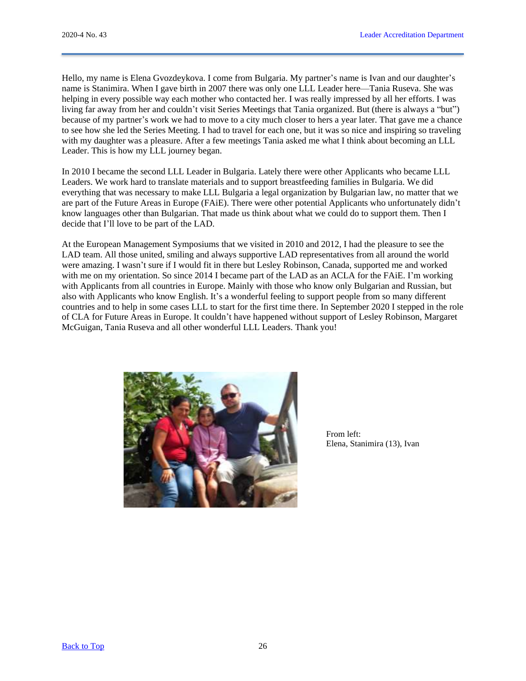Hello, my name is Elena Gvozdeykova. I come from Bulgaria. My partner's name is Ivan and our daughter's name is Stanimira. When I gave birth in 2007 there was only one LLL Leader here—Tania Ruseva. She was helping in every possible way each mother who contacted her. I was really impressed by all her efforts. I was living far away from her and couldn't visit Series Meetings that Tania organized. But (there is always a "but") because of my partner's work we had to move to a city much closer to hers a year later. That gave me a chance to see how she led the Series Meeting. I had to travel for each one, but it was so nice and inspiring so traveling with my daughter was a pleasure. After a few meetings Tania asked me what I think about becoming an LLL Leader. This is how my LLL journey began.

In 2010 I became the second LLL Leader in Bulgaria. Lately there were other Applicants who became LLL Leaders. We work hard to translate materials and to support breastfeeding families in Bulgaria. We did everything that was necessary to make LLL Bulgaria a legal organization by Bulgarian law, no matter that we are part of the Future Areas in Europe (FAiE). There were other potential Applicants who unfortunately didn't know languages other than Bulgarian. That made us think about what we could do to support them. Then I decide that I'll love to be part of the LAD.

At the European Management Symposiums that we visited in 2010 and 2012, I had the pleasure to see the LAD team. All those united, smiling and always supportive LAD representatives from all around the world were amazing. I wasn't sure if I would fit in there but Lesley Robinson, Canada, supported me and worked with me on my orientation. So since 2014 I became part of the LAD as an ACLA for the FAiE. I'm working with Applicants from all countries in Europe. Mainly with those who know only Bulgarian and Russian, but also with Applicants who know English. It's a wonderful feeling to support people from so many different countries and to help in some cases LLL to start for the first time there. In September 2020 I stepped in the role of CLA for Future Areas in Europe. It couldn't have happened without support of Lesley Robinson, Margaret McGuigan, Tania Ruseva and all other wonderful LLL Leaders. Thank you!



From left: Elena, Stanimira (13), Ivan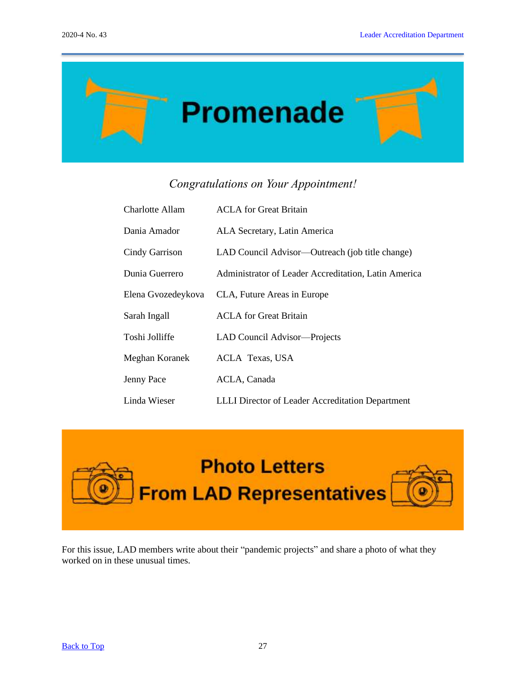

# <span id="page-26-2"></span><span id="page-26-1"></span><span id="page-26-0"></span>*Congratulations on Your Appointment!*

| Charlotte Allam       | <b>ACLA</b> for Great Britain                           |
|-----------------------|---------------------------------------------------------|
| Dania Amador          | ALA Secretary, Latin America                            |
| <b>Cindy Garrison</b> | LAD Council Advisor—Outreach (job title change)         |
| Dunia Guerrero        | Administrator of Leader Accreditation, Latin America    |
| Elena Gvozedeykova    | CLA, Future Areas in Europe                             |
| Sarah Ingall          | <b>ACLA</b> for Great Britain                           |
| Toshi Jolliffe        | LAD Council Advisor-Projects                            |
| Meghan Koranek        | <b>ACLA Texas, USA</b>                                  |
| Jenny Pace            | ACLA, Canada                                            |
| Linda Wieser          | <b>LLLI</b> Director of Leader Accreditation Department |



For this issue, LAD members write about their "pandemic projects" and share a photo of what they worked on in these unusual times.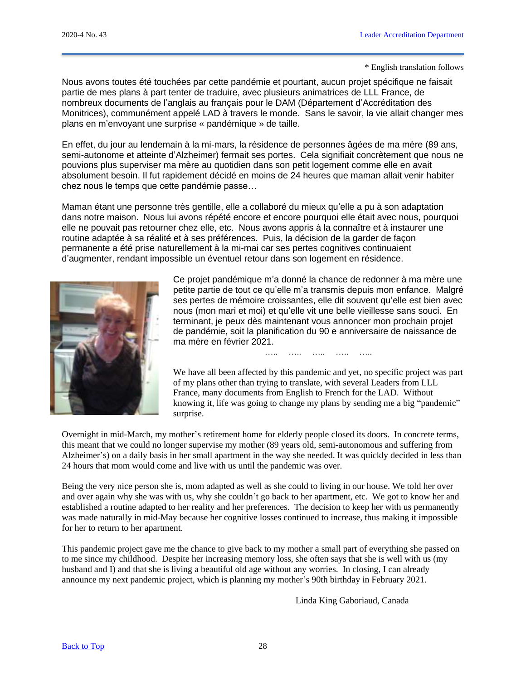#### \* English translation follows

Nous avons toutes été touchées par cette pandémie et pourtant, aucun projet spécifique ne faisait partie de mes plans à part tenter de traduire, avec plusieurs animatrices de LLL France, de nombreux documents de l'anglais au français pour le DAM (Département d'Accréditation des Monitrices), communément appelé LAD à travers le monde. Sans le savoir, la vie allait changer mes plans en m'envoyant une surprise « pandémique » de taille.

En effet, du jour au lendemain à la mi-mars, la résidence de personnes âgées de ma mère (89 ans, semi-autonome et atteinte d'Alzheimer) fermait ses portes. Cela signifiait concrètement que nous ne pouvions plus superviser ma mère au quotidien dans son petit logement comme elle en avait absolument besoin. Il fut rapidement décidé en moins de 24 heures que maman allait venir habiter chez nous le temps que cette pandémie passe…

Maman étant une personne très gentille, elle a collaboré du mieux qu'elle a pu à son adaptation dans notre maison. Nous lui avons répété encore et encore pourquoi elle était avec nous, pourquoi elle ne pouvait pas retourner chez elle, etc. Nous avons appris à la connaître et à instaurer une routine adaptée à sa réalité et à ses préférences. Puis, la décision de la garder de façon permanente a été prise naturellement à la mi-mai car ses pertes cognitives continuaient d'augmenter, rendant impossible un éventuel retour dans son logement en résidence.



Ce projet pandémique m'a donné la chance de redonner à ma mère une petite partie de tout ce qu'elle m'a transmis depuis mon enfance. Malgré ses pertes de mémoire croissantes, elle dit souvent qu'elle est bien avec nous (mon mari et moi) et qu'elle vit une belle vieillesse sans souci. En terminant, je peux dès maintenant vous annoncer mon prochain projet de pandémie, soit la planification du 90 e anniversaire de naissance de ma mère en février 2021.

We have all been affected by this pandemic and yet, no specific project was part of my plans other than trying to translate, with several Leaders from LLL France, many documents from English to French for the LAD. Without knowing it, life was going to change my plans by sending me a big "pandemic" surprise.

….. ….. ….. ….. …..

Overnight in mid-March, my mother's retirement home for elderly people closed its doors. In concrete terms, this meant that we could no longer supervise my mother (89 years old, semi-autonomous and suffering from Alzheimer's) on a daily basis in her small apartment in the way she needed. It was quickly decided in less than 24 hours that mom would come and live with us until the pandemic was over.

Being the very nice person she is, mom adapted as well as she could to living in our house. We told her over and over again why she was with us, why she couldn't go back to her apartment, etc. We got to know her and established a routine adapted to her reality and her preferences. The decision to keep her with us permanently was made naturally in mid-May because her cognitive losses continued to increase, thus making it impossible for her to return to her apartment.

This pandemic project gave me the chance to give back to my mother a small part of everything she passed on to me since my childhood. Despite her increasing memory loss, she often says that she is well with us (my husband and I) and that she is living a beautiful old age without any worries. In closing, I can already announce my next pandemic project, which is planning my mother's 90th birthday in February 2021.

Linda King Gaboriaud, Canada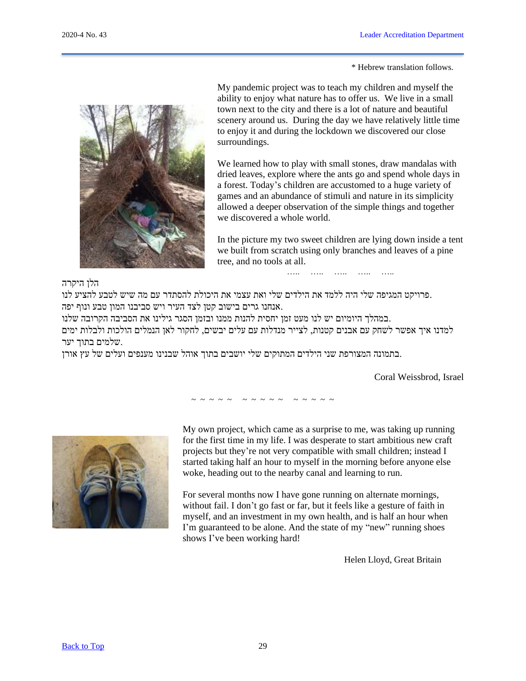\* Hebrew translation follows.



My pandemic project was to teach my children and myself the ability to enjoy what nature has to offer us. We live in a small town next to the city and there is a lot of nature and beautiful scenery around us. During the day we have relatively little time to enjoy it and during the lockdown we discovered our close surroundings.

We learned how to play with small stones, draw mandalas with dried leaves, explore where the ants go and spend whole days in a forest. Today's children are accustomed to a huge variety of games and an abundance of stimuli and nature in its simplicity allowed a deeper observation of the simple things and together we discovered a whole world.

In the picture my two sweet children are lying down inside a tent we built from scratch using only branches and leaves of a pine tree, and no tools at all.

….. ….. ….. ….. …..

## הלן היקרה

.פרויקט המגיפה שלי היה ללמד את הילדים שלי ואת עצמי את היכולת להסתדר עם מה שיש לטבע להציע לנו .אנחנו גרים בישוב קטן לצד העיר ויש סביבנו המון טבע ונוף יפה

.במהלך היומיום יש לנו מעט זמן יחסית להנות ממנו ובזמן הסגר גילינו את הסביבה הקרובה שלנו

למדנו איך אפשר לשחק עם אבנים קטנות, לצייר מנדלות עם עלים יבשים, לחקור לאן הנמלים הולכות ולבלות ימים .שלמים בתוך יער

.בתמונה המצורפת שני הילדים המתוקים שלי יושבים בתוך אוהל שבנינו מענפים ועלים של עץ אורן

Coral Weissbrod, Israel

~ ~ ~ ~ ~ ~ ~ ~ ~ ~ ~ ~ ~ ~ ~



My own project, which came as a surprise to me, was taking up running for the first time in my life. I was desperate to start ambitious new craft projects but they're not very compatible with small children; instead I started taking half an hour to myself in the morning before anyone else woke, heading out to the nearby canal and learning to run.

For several months now I have gone running on alternate mornings, without fail. I don't go fast or far, but it feels like a gesture of faith in myself, and an investment in my own health, and is half an hour when I'm guaranteed to be alone. And the state of my "new" running shoes shows I've been working hard!

Helen Lloyd, Great Britain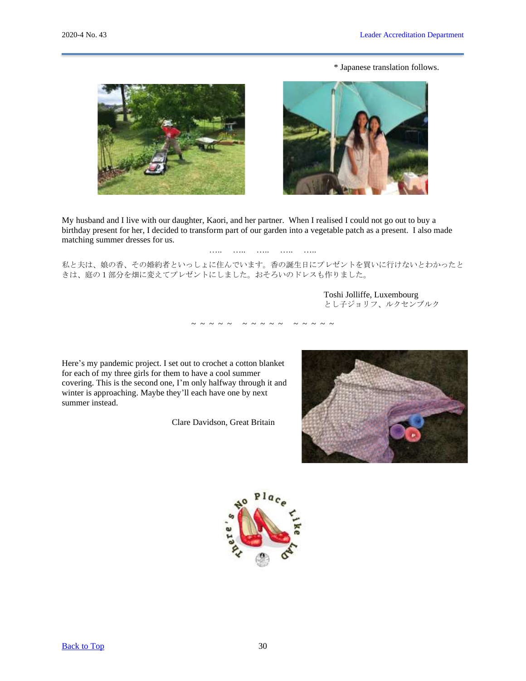\* Japanese translation follows.





My husband and I live with our daughter, Kaori, and her partner. When I realised I could not go out to buy a birthday present for her, I decided to transform part of our garden into a vegetable patch as a present. I also made matching summer dresses for us.

### ……. ……. ……. ……. …….

私と夫は、娘の香、その婚約者といっしょに住んでいます。香の誕生日にプレゼントを買いに行けないとわかったと きは、庭の1部分を畑に変えてプレゼントにしました。おそろいのドレスも作りました。

~ ~ ~ ~ ~ ~ ~ ~ ~ ~ ~ ~ ~ ~ ~

Toshi Jolliffe, Luxembourg とし子ジョリフ、ルクセンブルク

Here's my pandemic project. I set out to crochet a cotton blanket for each of my three girls for them to have a cool summer covering. This is the second one, I'm only halfway through it and winter is approaching. Maybe they'll each have one by next summer instead.

Clare Davidson, Great Britain